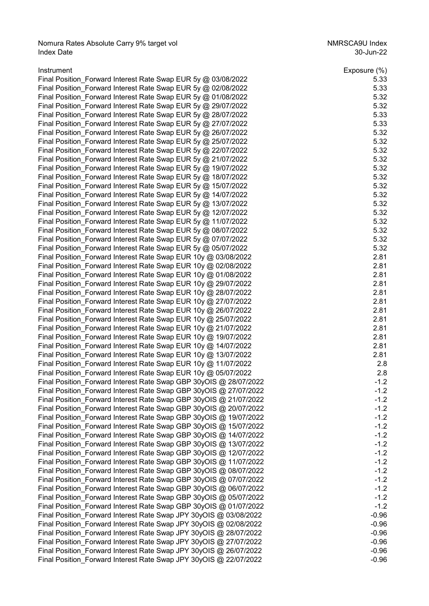Nomura Rates Absolute Carry 9% target vol<br>1994 molecular product and the NMRSCA9U Index<br>1992-Jun-22 Index Date 30-Jun-22

| Instrument                                                        | Exposure (%) |
|-------------------------------------------------------------------|--------------|
| Final Position_Forward Interest Rate Swap EUR 5y @ 03/08/2022     | 5.33         |
| Final Position_Forward Interest Rate Swap EUR 5y @ 02/08/2022     | 5.33         |
| Final Position_Forward Interest Rate Swap EUR 5y @ 01/08/2022     | 5.32         |
| Final Position_Forward Interest Rate Swap EUR 5y @ 29/07/2022     | 5.32         |
| Final Position_Forward Interest Rate Swap EUR 5y @ 28/07/2022     | 5.33         |
| Final Position_Forward Interest Rate Swap EUR 5y @ 27/07/2022     | 5.33         |
| Final Position_Forward Interest Rate Swap EUR 5y @ 26/07/2022     | 5.32         |
| Final Position_Forward Interest Rate Swap EUR 5y @ 25/07/2022     | 5.32         |
| Final Position Forward Interest Rate Swap EUR 5y @ 22/07/2022     | 5.32         |
| Final Position_Forward Interest Rate Swap EUR 5y @ 21/07/2022     | 5.32         |
| Final Position_Forward Interest Rate Swap EUR 5y @ 19/07/2022     | 5.32         |
| Final Position_Forward Interest Rate Swap EUR 5y @ 18/07/2022     | 5.32         |
| Final Position Forward Interest Rate Swap EUR 5y @ 15/07/2022     | 5.32         |
| Final Position Forward Interest Rate Swap EUR 5y @ 14/07/2022     | 5.32         |
| Final Position_Forward Interest Rate Swap EUR 5y @ 13/07/2022     | 5.32         |
| Final Position Forward Interest Rate Swap EUR 5y @ 12/07/2022     | 5.32         |
| Final Position Forward Interest Rate Swap EUR 5y @ 11/07/2022     | 5.32         |
| Final Position Forward Interest Rate Swap EUR 5y @ 08/07/2022     | 5.32         |
| Final Position_Forward Interest Rate Swap EUR 5y @ 07/07/2022     | 5.32         |
| Final Position Forward Interest Rate Swap EUR 5y @ 05/07/2022     | 5.32         |
| Final Position_Forward Interest Rate Swap EUR 10y @ 03/08/2022    | 2.81         |
| Final Position_Forward Interest Rate Swap EUR 10y @ 02/08/2022    | 2.81         |
| Final Position_Forward Interest Rate Swap EUR 10y @ 01/08/2022    | 2.81         |
| Final Position_Forward Interest Rate Swap EUR 10y @ 29/07/2022    | 2.81         |
| Final Position_Forward Interest Rate Swap EUR 10y @ 28/07/2022    | 2.81         |
| Final Position_Forward Interest Rate Swap EUR 10y @ 27/07/2022    | 2.81         |
| Final Position_Forward Interest Rate Swap EUR 10y @ 26/07/2022    | 2.81         |
| Final Position_Forward Interest Rate Swap EUR 10y @ 25/07/2022    | 2.81         |
|                                                                   | 2.81         |
| Final Position_Forward Interest Rate Swap EUR 10y @ 21/07/2022    | 2.81         |
| Final Position Forward Interest Rate Swap EUR 10y @ 19/07/2022    |              |
| Final Position_Forward Interest Rate Swap EUR 10y @ 14/07/2022    | 2.81<br>2.81 |
| Final Position_Forward Interest Rate Swap EUR 10y @ 13/07/2022    |              |
| Final Position_Forward Interest Rate Swap EUR 10y @ 11/07/2022    | 2.8          |
| Final Position Forward Interest Rate Swap EUR 10y @ 05/07/2022    | 2.8          |
| Final Position_Forward Interest Rate Swap GBP 30yOIS @ 28/07/2022 | $-1.2$       |
| Final Position_Forward Interest Rate Swap GBP 30yOIS @ 27/07/2022 | $-1.2$       |
| Final Position_Forward Interest Rate Swap GBP 30yOIS @ 21/07/2022 | $-1.2$       |
| Final Position Forward Interest Rate Swap GBP 30yOIS @ 20/07/2022 | $-1.2$       |
| Final Position_Forward Interest Rate Swap GBP 30yOIS @ 19/07/2022 | $-1.2$       |
| Final Position_Forward Interest Rate Swap GBP 30yOIS @ 15/07/2022 | $-1.2$       |
| Final Position Forward Interest Rate Swap GBP 30yOIS @ 14/07/2022 | $-1.2$       |
| Final Position_Forward Interest Rate Swap GBP 30yOIS @ 13/07/2022 | $-1.2$       |
| Final Position_Forward Interest Rate Swap GBP 30yOIS @ 12/07/2022 | $-1.2$       |
| Final Position_Forward Interest Rate Swap GBP 30yOIS @ 11/07/2022 | $-1.2$       |
| Final Position_Forward Interest Rate Swap GBP 30yOIS @ 08/07/2022 | $-1.2$       |
| Final Position_Forward Interest Rate Swap GBP 30yOIS @ 07/07/2022 | $-1.2$       |
| Final Position_Forward Interest Rate Swap GBP 30yOIS @ 06/07/2022 | $-1.2$       |
| Final Position_Forward Interest Rate Swap GBP 30yOIS @ 05/07/2022 | $-1.2$       |
| Final Position_Forward Interest Rate Swap GBP 30yOIS @ 01/07/2022 | $-1.2$       |
| Final Position_Forward Interest Rate Swap JPY 30yOIS @ 03/08/2022 | $-0.96$      |
| Final Position_Forward Interest Rate Swap JPY 30yOIS @ 02/08/2022 | $-0.96$      |
| Final Position_Forward Interest Rate Swap JPY 30yOIS @ 28/07/2022 | $-0.96$      |
| Final Position_Forward Interest Rate Swap JPY 30yOIS @ 27/07/2022 | $-0.96$      |
| Final Position_Forward Interest Rate Swap JPY 30yOIS @ 26/07/2022 | $-0.96$      |
| Final Position_Forward Interest Rate Swap JPY 30yOIS @ 22/07/2022 | $-0.96$      |